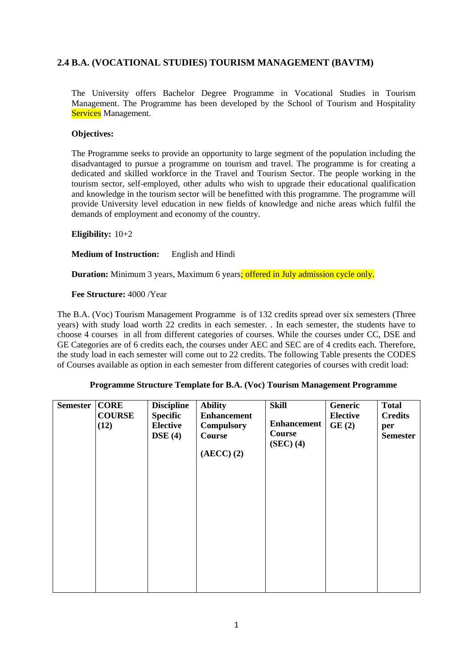# **2.4 B.A. (VOCATIONAL STUDIES) TOURISM MANAGEMENT (BAVTM)**

The University offers Bachelor Degree Programme in Vocational Studies in Tourism Management. The Programme has been developed by the School of Tourism and Hospitality Services Management.

### **Objectives:**

The Programme seeks to provide an opportunity to large segment of the population including the disadvantaged to pursue a programme on tourism and travel. The programme is for creating a dedicated and skilled workforce in the Travel and Tourism Sector. The people working in the tourism sector, self-employed, other adults who wish to upgrade their educational qualification and knowledge in the tourism sector will be benefitted with this programme. The programme will provide University level education in new fields of knowledge and niche areas which fulfil the demands of employment and economy of the country.

### **Eligibility:** 10+2

### **Medium of Instruction:** English and Hindi

**Duration:** Minimum 3 years, Maximum 6 years: offered in July admission cycle only.

### **Fee Structure:** 4000 /Year

The B.A. (Voc) Tourism Management Programme is of 132 credits spread over six semesters (Three years) with study load worth 22 credits in each semester. . In each semester, the students have to choose 4 courses in all from different categories of courses. While the courses under CC, DSE and GE Categories are of 6 credits each, the courses under AEC and SEC are of 4 credits each. Therefore, the study load in each semester will come out to 22 credits. The following Table presents the CODES of Courses available as option in each semester from different categories of courses with credit load:

|  | <b>Programme Structure Template for B.A. (Voc) Tourism Management Programme</b> |
|--|---------------------------------------------------------------------------------|
|  |                                                                                 |

| <b>Semester</b> | <b>CORE</b><br><b>COURSE</b><br>(12) | <b>Discipline</b><br><b>Specific</b><br><b>Elective</b><br>DSE(4) | <b>Ability</b><br><b>Enhancement</b><br><b>Compulsory</b><br>Course<br>$(AECC)$ $(2)$ | <b>Skill</b><br><b>Enhancement</b><br>Course<br>(SEC) (4) | Generic<br><b>Elective</b><br>GE(2) | <b>Total</b><br><b>Credits</b><br>per<br><b>Semester</b> |
|-----------------|--------------------------------------|-------------------------------------------------------------------|---------------------------------------------------------------------------------------|-----------------------------------------------------------|-------------------------------------|----------------------------------------------------------|
|                 |                                      |                                                                   |                                                                                       |                                                           |                                     |                                                          |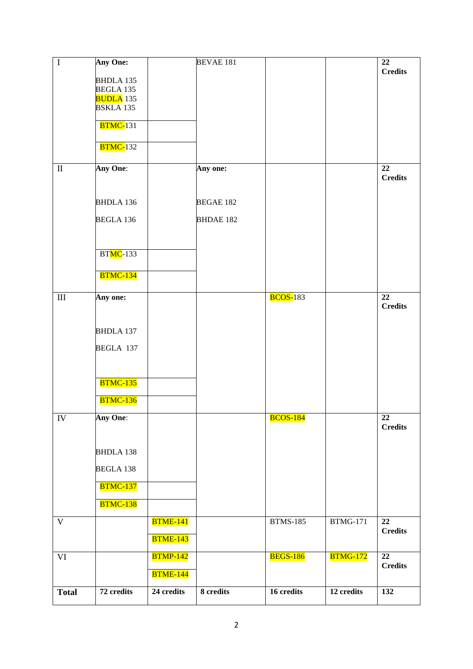| $\bf I$      | <b>Any One:</b>              |                 | <b>BEVAE 181</b> |                 |                 | 22                                |
|--------------|------------------------------|-----------------|------------------|-----------------|-----------------|-----------------------------------|
|              | BHDLA 135                    |                 |                  |                 |                 | <b>Credits</b>                    |
|              | BEGLA 135                    |                 |                  |                 |                 |                                   |
|              | <b>BUDLA</b> 135             |                 |                  |                 |                 |                                   |
|              | <b>BSKLA135</b>              |                 |                  |                 |                 |                                   |
|              | $\overline{\text{BTMC-}}131$ |                 |                  |                 |                 |                                   |
|              | <b>BTMC-132</b>              |                 |                  |                 |                 |                                   |
| $\mathbf{I}$ | Any One:                     |                 | Any one:         |                 |                 | 22                                |
|              |                              |                 |                  |                 |                 | <b>Credits</b>                    |
|              |                              |                 |                  |                 |                 |                                   |
|              | <b>BHDLA 136</b>             |                 | <b>BEGAE 182</b> |                 |                 |                                   |
|              | <b>BEGLA 136</b>             |                 | <b>BHDAE 182</b> |                 |                 |                                   |
|              |                              |                 |                  |                 |                 |                                   |
|              | <b>BTMC-133</b>              |                 |                  |                 |                 |                                   |
|              |                              |                 |                  |                 |                 |                                   |
|              | <b>BTMC-134</b>              |                 |                  |                 |                 |                                   |
| $\rm III$    | Any one:                     |                 |                  | <b>BCOS-183</b> |                 | 22                                |
|              |                              |                 |                  |                 |                 | <b>Credits</b>                    |
|              |                              |                 |                  |                 |                 |                                   |
|              | <b>BHDLA 137</b>             |                 |                  |                 |                 |                                   |
|              | BEGLA 137                    |                 |                  |                 |                 |                                   |
|              |                              |                 |                  |                 |                 |                                   |
|              | <b>BTMC-135</b>              |                 |                  |                 |                 |                                   |
|              |                              |                 |                  |                 |                 |                                   |
|              | <b>BTMC-136</b>              |                 |                  |                 |                 |                                   |
| ${\rm IV}$   | Any One:                     |                 |                  | <b>BCOS-184</b> |                 | $\overline{22}$                   |
|              |                              |                 |                  |                 |                 | <b>Credits</b>                    |
|              | <b>BHDLA 138</b>             |                 |                  |                 |                 |                                   |
|              |                              |                 |                  |                 |                 |                                   |
|              | <b>BEGLA 138</b>             |                 |                  |                 |                 |                                   |
|              | <b>BTMC-137</b>              |                 |                  |                 |                 |                                   |
|              | <b>BTMC-138</b>              |                 |                  |                 |                 |                                   |
| $\mathbf V$  |                              | <b>BTME-141</b> |                  | <b>BTMS-185</b> | <b>BTMG-171</b> | $\overline{22}$<br><b>Credits</b> |
|              |                              | <b>BTME-143</b> |                  |                 |                 |                                   |
| VI           |                              | <b>BTMP-142</b> |                  | <b>BEGS-186</b> | <b>BTMG-172</b> | $\overline{22}$                   |
|              |                              | <b>BTME-144</b> |                  |                 |                 | <b>Credits</b>                    |
|              | 72 credits                   | 24 credits      | 8 credits        | 16 credits      | 12 credits      | 132                               |
| <b>Total</b> |                              |                 |                  |                 |                 |                                   |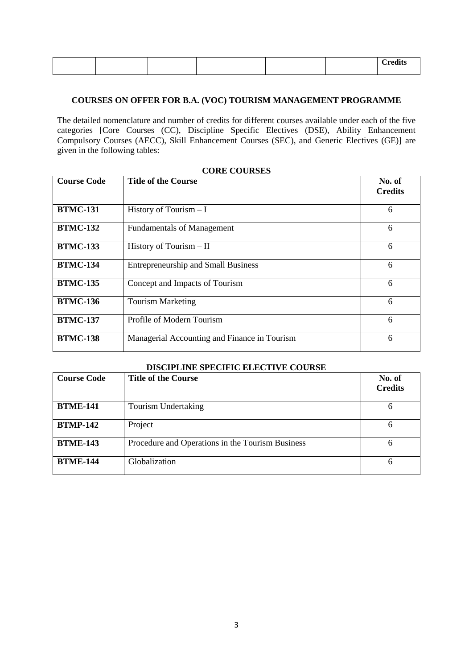### **COURSES ON OFFER FOR B.A. (VOC) TOURISM MANAGEMENT PROGRAMME**

The detailed nomenclature and number of credits for different courses available under each of the five categories [Core Courses (CC), Discipline Specific Electives (DSE), Ability Enhancement Compulsory Courses (AECC), Skill Enhancement Courses (SEC), and Generic Electives (GE)] are given in the following tables:

| <b>Course Code</b> | <b>Title of the Course</b>                   |                          |
|--------------------|----------------------------------------------|--------------------------|
|                    |                                              | No. of<br><b>Credits</b> |
| <b>BTMC-131</b>    | History of Tourism $-I$                      | 6                        |
| <b>BTMC-132</b>    | <b>Fundamentals of Management</b>            | 6                        |
| <b>BTMC-133</b>    | History of Tourism $-$ II                    | 6                        |
| <b>BTMC-134</b>    | <b>Entrepreneurship and Small Business</b>   | 6                        |
| <b>BTMC-135</b>    | Concept and Impacts of Tourism               | 6                        |
| <b>BTMC-136</b>    | <b>Tourism Marketing</b>                     | 6                        |
| <b>BTMC-137</b>    | Profile of Modern Tourism                    | 6                        |
| <b>BTMC-138</b>    | Managerial Accounting and Finance in Tourism | 6                        |

|--|

| <b>DISCIPLINE SPECIFIC ELECTIVE COURSE</b> |                                                  |                          |  |  |
|--------------------------------------------|--------------------------------------------------|--------------------------|--|--|
| <b>Course Code</b>                         | <b>Title of the Course</b>                       | No. of<br><b>Credits</b> |  |  |
| <b>BTME-141</b>                            | Tourism Undertaking                              | 6                        |  |  |
| <b>BTMP-142</b>                            | Project                                          | 6                        |  |  |
| <b>BTME-143</b>                            | Procedure and Operations in the Tourism Business |                          |  |  |
| <b>BTME-144</b>                            | Globalization                                    | h                        |  |  |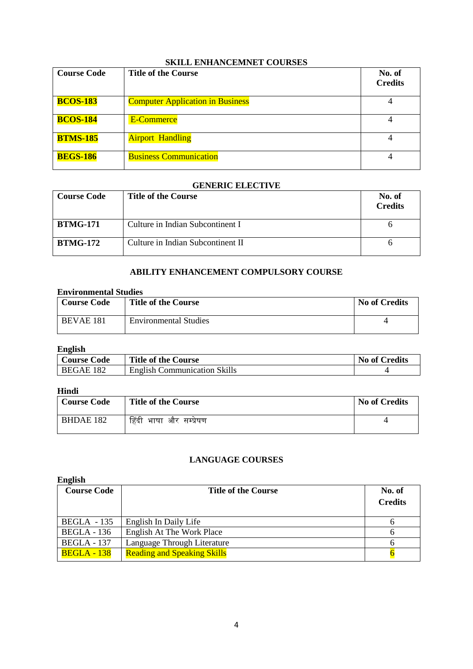| <b>Course Code</b> | <b>Title of the Course</b>              | No. of<br><b>Credits</b> |
|--------------------|-----------------------------------------|--------------------------|
| <b>BCOS-183</b>    | <b>Computer Application in Business</b> | 4                        |
| <b>BCOS-184</b>    | E-Commerce                              | 4                        |
| <b>BTMS-185</b>    | <b>Airport Handling</b>                 | 4                        |
| <b>BEGS-186</b>    | <b>Business Communication</b>           | 4                        |

### **SKILL ENHANCEMNET COURSES**

### **GENERIC ELECTIVE**

| <b>Course Code</b> | <b>Title of the Course</b>        | No. of<br><b>Credits</b> |
|--------------------|-----------------------------------|--------------------------|
| <b>BTMG-171</b>    | Culture in Indian Subcontinent I  |                          |
| <b>BTMG-172</b>    | Culture in Indian Subcontinent II |                          |

### **ABILITY ENHANCEMENT COMPULSORY COURSE**

## **Environmental Studies**

| <b>Course Code</b> | <b>Title of the Course</b>   | <b>No of Credits</b> |
|--------------------|------------------------------|----------------------|
| BEVAE 181          | <b>Environmental Studies</b> |                      |

## **English**

| Course Code | <b>Title of the Course</b>          | <b>No of Credits</b> |
|-------------|-------------------------------------|----------------------|
| BEGAE 182   | <b>English Communication Skills</b> |                      |

# **Hindi**

| <b>Course Code</b> | <b>Title of the Course</b> | <b>No of Credits</b> |
|--------------------|----------------------------|----------------------|
| <b>BHDAE 182</b>   | हिंदी भाषा और सम्प्रेषण    |                      |

### **LANGUAGE COURSES**

### **English**

| <b>Course Code</b> | <b>Title of the Course</b>         | No. of<br><b>Credits</b> |
|--------------------|------------------------------------|--------------------------|
| $BEGLA - 135$      | English In Daily Life              |                          |
| <b>BEGLA</b> - 136 | English At The Work Place          |                          |
| <b>BEGLA</b> - 137 | Language Through Literature        |                          |
| <b>BEGLA - 138</b> | <b>Reading and Speaking Skills</b> |                          |